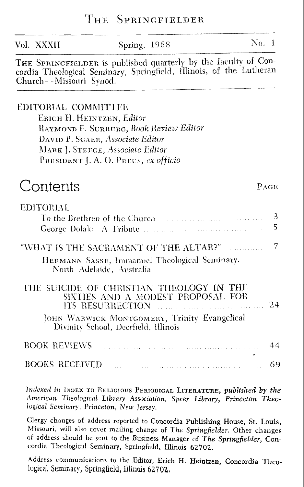| Vol. XXXII                    | Spring, 1968                                                                                                                                                                              | No. 1 |                     |
|-------------------------------|-------------------------------------------------------------------------------------------------------------------------------------------------------------------------------------------|-------|---------------------|
| Church—Missouri Synod.        | THE SPRINGFIELDER is published quarterly by the faculty of Con-<br>cordia Theological Seminary, Springfield, Illinois, of the Lutheran                                                    |       |                     |
| EDITORIAL COMMITTEE           | ERICH H. HEINTZEN, Editor<br>RAYMOND F. SURBURG, Book Review Editor<br>DAVID P. SCAER, Associate Editor<br>MARK J. STEEGE, Associate Editor<br>PRESIDENT J. A. O. PREUS, ex officio       |       |                     |
| Contents                      |                                                                                                                                                                                           |       | PAGE                |
| EDITORIAL                     | To the Brethren of the Church <b>Election</b> 2014 11:20 12:20 12:20 12:20 12:20 12:20 12:20 12:20 12:20 12:20 12:20                                                                      |       | 3<br>$\overline{5}$ |
|                               | "WHAT IS THE SACRAMENT OF THE ALTAR?"<br>HERMANN SASSE, Immanuel Theological Seminary,<br>North Adelaide, Australia                                                                       |       | $\overline{7}$      |
|                               | THE SUICIDE OF CHRISTIAN THEOLOGY IN THE<br>SIXTIES AND A MODEST PROPOSAL FOR<br>ITS RESURRECTION<br>JOHN WARWICK MONTGOMERY, Trinity Evangelical<br>Divinity School, Deerfield, Illinois |       | 24                  |
| <b>BOOK REVIEWS FOR LOWER</b> |                                                                                                                                                                                           |       | 44                  |
| BOOKS RECEIVED                |                                                                                                                                                                                           |       | 69                  |

THE SPRINGFIELDER

Indexed in INDEX TO RELIGIOUS PERIODICAL LITERATURE, published by the American Theological Library Association, Speer Library, Princeton Theological Seminary, Princeton, New Jersey.

Clergy changes of address reported to Concordia Publishing House, St. Louis, Missouri, will also cover mailing change of The Springfielder. Other changes of address should be sent to the Business Manager of The Springfielder, Concordia Theological Seminary, Springfield, Illinois 62702.

Address communications to the Editor, Erich H. Heintzen, Concordia Theological Seminary, Springfield, Illinois 62702.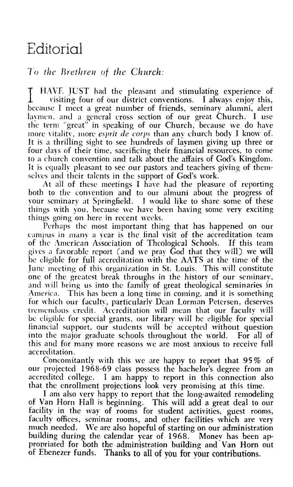## Editorial

## To the Brethren of the Church:

HAVE JUST had the pleasant and stimulating experience of visiting four of our district conventions. I always enjoy this, because I meet a great number of friends, seminary alumni, alert laymen, and a general cross section of our great Church. I use the term "great" in speaking of our Church, because we do have more vitality, more *esprit de corps* than any church body I know of. It is a thrilling sight to see hundreds of laymen giving up three or four days of their time, sacrificing their financial resources, to come to a church convention and talk about the affairs of God's Kingdom. It is equally pleasant to see our pastors and teachers giving of themselves and their talents in the support of God's work.

At all of these meetings I have had the pleasure of reporting both to the convention and to our almuni about the progress of your seminary at Springfield. I would like to share some of these things with you, because we have been having some very exciting things going on here in recent weeks.

Perhaps the most important thing that has happened on our campus in many a year is the final visit of the accreditation team of the American Association of Theological Schools. If this team gives a favorable report (and we pray God that they will) we will be eligible for full accreditation with the AATS at the time of the June meeting of this organization in St. Louis. This will constitute one of the greatest break throughs in the history of our seminary, and will bring us into the family of great theological seminaries in America. This has been a long time in coming, and it is something for which our faculty, particularly Dean Lorman Petersen, deserves tremendous credit. Accreditation will mean that our faculty will be eligible for special grants, our library will be eligible for special financial support, our students will be accepted without question into the major graduate schools throughout the world. For all of this and for many more reasons we are most anxious to receive full accreditation.

Concomitantly with this we are happy to report that 95% of our projected 1968-69 class possess the bachelor's degree from an accredited college. I am happy to report in this connection also that the enrollment projections look very promising at this time.

I am also very happy to report that the long-awaited remodeling of Van Horn Hall is beginning. This will add a great deal to our facility in the way of rooms for student activities, guest rooms, faculty offices, seminar rooms, and other facilities which are very much needed. We are also hopeful of starting on our administration building during the calendar year of 1968. Money has been appropriated for both the administration building and Van Horn out of Ebenezer funds. Thanks to all of you for your contributions.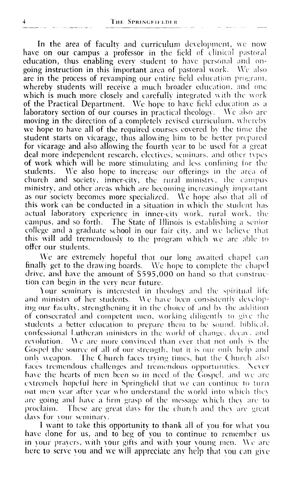In the area of faculty and curriculum development, we now have on our campus a professor in the field of clinical pastoral education, thus enabling every student to have personal and ongoing instruction in this important area of pastoral work. We also are in the process of revamping our entire field education program. whereby students will receive a much broader education, and one which is much more closely and carefully integrated with the work of the Practical Department. We hope to have field education as a laboratory section of our courses in practical theology. We also are moving in the direction of a completely revised curriculum, whereby we hope to have all of the required courses covered by the time the student starts on vicarage, thus allowing him to be better prepared for vicarage and also allowing the fourth vear to be used for a great deal more independent research, electives, seminars, and other types of work which will be more stimulating and less confining for the students. We also hope to increase our offerings in the area of church and society, inner-city, the rural ministry, the campus ministry, and other areas which are becoming increasingly important as our society becomes more specialized. We hope also that all of this work can be conducted in a situation in which the student has actual laboratory experience in inner-city work, rural work, the campus, and so forth. The State of Illinois is establishing a senior college and a graduate school in our fair city, and we believe that this will add tremendously to the program which we are able to offer our students.

We are extremely hopeful that our long awaited chapel can finally get to the drawing boards. We hope to complete the chapel drive, and have the amount of \$595,000 on hand so that construction can begin in the very near future.

Your seminary is interested in theology and the spiritual life and ministry of her students. We have been consistently developing our faculty, strengthening it in the choice of and by the addition of consecrated and competent men, working diligently to give the students a better education to prepare them to be sound, biblical, confessional Lutheran ministers in the world of change, decay, and revolution. We are more convinced than ever that not only is the Gospel the source of all of our strength, but it is our only help and only weapon. The Church faces trying times, but the Church also faces tremendous challenges and tremendous opportunities. Never have the hearts of men been so in need of the Gospel, and we are extremely hopeful here in Springfield that we can continue to turn out men year after year who understand the world into which they are going and have a firm grasp of the message which they are to proclaim. These are great days for the church and they are great days for your seminary.

I want to take this opportunity to thank all of you for what you have done for us, and to beg of you to continue to remember us in your prayers, with your gifts and with your young men. We are here to serve you and we will appreciate any help that you can give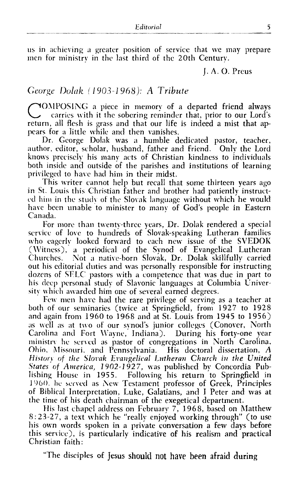us in achieving a greater position of service that we may prepare men for ministry in the last third of the 20th Century.

I. A. O. Preus

## George Dolak (1903-1968): A Tribute

NOMPOSING a piece in memory of a departed friend always carries with it the sobering reminder that, prior to our Lord's return, all flesh is grass and that our life is indeed a mist that appears for a little while and then vanishes.

Dr. George Dolak was a humble dedicated pastor, teacher, author, editor, scholar, husband, father and friend. Only the Lord knows precisely his many acts of Christian kindness to individuals both inside and outside of the parishes and institutions of learning privileged to have had him in their midst.

This writer cannot help but recall that some thirteen years ago in St. Louis this Christian father and brother had patiently instructed him in the study of the Slovak language without which he would have been unable to minister to many of God's people in Eastern Canada.

For more than twenty-three years, Dr. Dolak rendered a special service of love to hundreds of Slovak-speaking Lutheran families<br>who eagerly looked forward to each new issue of the SVEDOK (Witness), a periodical of the Synod of Evangelical Lutheran Churches. Not a native-born Slovak, Dr. Dolak skillfully carried out his editorial duties and was personally responsible for instructing dozens of SELC pastors with a competence that was due in part to his deep personal study of Slavonic languages at Columbia University which awarded him one of several earned degrees.

Few men have had the rare privilege of serving as a teacher at both of our seminaries (twice at Springfield, from 1927 to 1928 and again from 1960 to 1968 and at St. Louis from 1945 to 1956) as well as at two of our synod's junior colleges (Conover, North Carolina and Fort Wayne, Indiana). During his forty-one year ministry he served as pastor of congregations in North Carolina, Ohio, Missouri, and Pennsylvania. His doctoral dissertation, A History of the Slovak Evangelical Lutheran Church in the United States of America, 1902-1927, was published by Concordia Publishing House in 1955. Following his return to Springfield in 1960. he served as New Testament professor of Greek, Principles of Biblical Interpretation, Luke, Galatians, and I Peter and was at the time of his death chairman of the exegetical department.

His last chapel address on February 7, 1968, based on Matthew 8:23-27, a text which he "really enjoyed working through" (to use his own words spoken in a private conversation a few days before this service), is particularly indicative of his realism and practical Christian faith:

"The disciples of Jesus should not have been afraid during